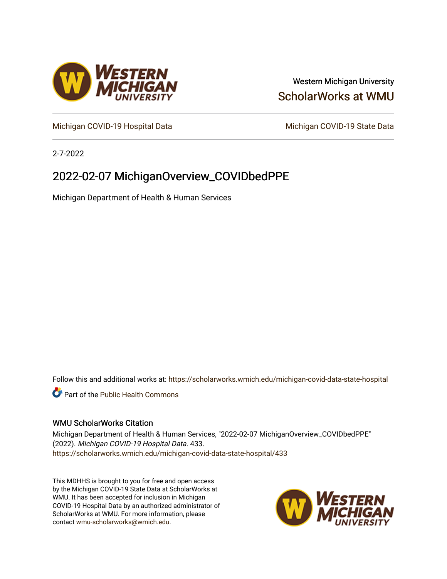

## Western Michigan University [ScholarWorks at WMU](https://scholarworks.wmich.edu/)

[Michigan COVID-19 Hospital Data](https://scholarworks.wmich.edu/michigan-covid-data-state-hospital) Michigan COVID-19 State Data

2-7-2022

# 2022-02-07 MichiganOverview\_COVIDbedPPE

Michigan Department of Health & Human Services

Follow this and additional works at: [https://scholarworks.wmich.edu/michigan-covid-data-state-hospital](https://scholarworks.wmich.edu/michigan-covid-data-state-hospital?utm_source=scholarworks.wmich.edu%2Fmichigan-covid-data-state-hospital%2F433&utm_medium=PDF&utm_campaign=PDFCoverPages) 

**Part of the Public Health Commons** 

#### WMU ScholarWorks Citation

Michigan Department of Health & Human Services, "2022-02-07 MichiganOverview\_COVIDbedPPE" (2022). Michigan COVID-19 Hospital Data. 433. [https://scholarworks.wmich.edu/michigan-covid-data-state-hospital/433](https://scholarworks.wmich.edu/michigan-covid-data-state-hospital/433?utm_source=scholarworks.wmich.edu%2Fmichigan-covid-data-state-hospital%2F433&utm_medium=PDF&utm_campaign=PDFCoverPages) 

This MDHHS is brought to you for free and open access by the Michigan COVID-19 State Data at ScholarWorks at WMU. It has been accepted for inclusion in Michigan COVID-19 Hospital Data by an authorized administrator of ScholarWorks at WMU. For more information, please contact [wmu-scholarworks@wmich.edu](mailto:wmu-scholarworks@wmich.edu).

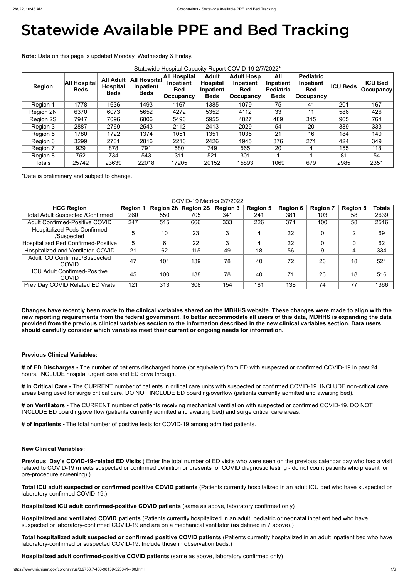# **Statewide Available PPE and Bed Tracking**

**Note:** Data on this page is updated Monday, Wednesday & Friday.

| Statewide Hospital Capacity Report COVID-19 2/7/2022* |                                    |                                                    |                                                 |                                                               |                                                             |                                                            |                                                     |                                                              |                 |                                     |
|-------------------------------------------------------|------------------------------------|----------------------------------------------------|-------------------------------------------------|---------------------------------------------------------------|-------------------------------------------------------------|------------------------------------------------------------|-----------------------------------------------------|--------------------------------------------------------------|-----------------|-------------------------------------|
| <b>Region</b>                                         | <b>All Hospital</b><br><b>Beds</b> | <b>All Adult</b><br><b>Hospital</b><br><b>Beds</b> | <b>All Hospital</b><br>Inpatient<br><b>Beds</b> | <b>All Hospital</b><br>Inpatient<br><b>Bed</b><br>∣Occupancy⊺ | <b>Adult</b><br><b>Hospital</b><br>Inpatient<br><b>Beds</b> | <b>Adult Hosp</b><br>Inpatient<br><b>Bed</b><br> Occupancy | All<br>Inpatient<br><b>Pediatric</b><br><b>Beds</b> | <b>Pediatric</b><br>Inpatient<br><b>Bed</b><br>$ $ Occupancy | <b>ICU Beds</b> | <b>ICU Bed</b><br>$ $ Occupancy $ $ |
| Region 1                                              | 1778                               | 1636                                               | 1493                                            | 1167                                                          | 1385                                                        | 1079                                                       | 75                                                  | 41                                                           | 201             | 167                                 |
| Region 2N                                             | 6370                               | 6073                                               | 5652                                            | 4272                                                          | 5352                                                        | 4112                                                       | 33                                                  | 11                                                           | 586             | 426                                 |
| Region 2S                                             | 7947                               | 7096                                               | 6806                                            | 5496                                                          | 5955                                                        | 4827                                                       | 489                                                 | 315                                                          | 965             | 764                                 |
| Region 3                                              | 2887                               | 2769                                               | 2543                                            | 2112                                                          | 2413                                                        | 2029                                                       | 54                                                  | 20                                                           | 389             | 333                                 |
| Region 5                                              | 1780                               | 1722                                               | 1374                                            | 1051                                                          | 1351                                                        | 1035                                                       | 21                                                  | 16                                                           | 184             | 140                                 |
| Region 6                                              | 3299                               | 2731                                               | 2816                                            | 2216                                                          | 2426                                                        | 1945                                                       | 376                                                 | 271                                                          | 424             | 349                                 |
| Region 7                                              | 929                                | 878                                                | 791                                             | 580                                                           | 749                                                         | 565                                                        | 20                                                  | 4                                                            | 155             | 118                                 |
| Region 8                                              | 752                                | 734                                                | 543                                             | 311                                                           | 521                                                         | 301                                                        |                                                     |                                                              | 81              | 54                                  |
| <b>Totals</b>                                         | 25742                              | 23639                                              | 22018                                           | 17205                                                         | 20152                                                       | 15893                                                      | 1069                                                | 679                                                          | 2985            | 2351                                |

\*Data is preliminary and subject to change.

COVID-19 Metrics 2/7/2022

| <u>UUVIDETU MEITUS ZIITZUZZ</u>                      |                 |     |                            |                 |                 |                 |                 |                 |               |
|------------------------------------------------------|-----------------|-----|----------------------------|-----------------|-----------------|-----------------|-----------------|-----------------|---------------|
| <b>HCC Region</b>                                    | <b>Region 1</b> |     | <b>Region 2N Region 2S</b> | <b>Region 3</b> | <b>Region 5</b> | <b>Region 6</b> | <b>Region 7</b> | <b>Region 8</b> | <b>Totals</b> |
| <b>Total Adult Suspected /Confirmed</b>              | 260             | 550 | 705                        | 341             | 241             | 381             | 103             | 58              | 2639          |
| <b>Adult Confirmed-Positive COVID</b>                | 247             | 515 | 666                        | 333             | 226             | 371             | 100             | 58              | 2516          |
| <b>Hospitalized Peds Confirmed</b><br>/Suspected     | 5               | 10  | 23                         | 3               | 4               | 22              | 0               | 2               | 69            |
| Hospitalized Ped Confirmed-Positive                  | 5               | 6   | 22                         | 3               |                 | 22              |                 |                 | 62            |
| Hospitalized and Ventilated COVID                    | 21              | 62  | 115                        | 49              | 18              | 56              | 9               | 4               | 334           |
| <b>Adult ICU Confirmed/Suspected</b><br><b>COVID</b> | 47              | 101 | 139                        | 78              | 40              | 72              | 26              | 18              | 521           |
| <b>ICU Adult Confirmed-Positive</b><br>COVID         | 45              | 100 | 138                        | 78              | 40              | 71              | 26              | 18              | 516           |
| Prev Day COVID Related ED Visits                     | 121             | 313 | 308                        | 154             | 181             | 138             | 74              |                 | 1366          |

**Changes have recently been made to the clinical variables shared on the MDHHS website. These changes were made to align with the new reporting requirements from the federal government. To better accommodate all users of this data, MDHHS is expanding the data provided from the previous clinical variables section to the information described in the new clinical variables section. Data users should carefully consider which variables meet their current or ongoing needs for information.**

### **Previous Clinical Variables:**

**# of ED Discharges -** The number of patients discharged home (or equivalent) from ED with suspected or confirmed COVID-19 in past 24 hours. INCLUDE hospital urgent care and ED drive through.

**# in Critical Care -** The CURRENT number of patients in critical care units with suspected or confirmed COVID-19. INCLUDE non-critical care areas being used for surge critical care. DO NOT INCLUDE ED boarding/overflow (patients currently admitted and awaiting bed).

**# on Ventilators -** The CURRENT number of patients receiving mechanical ventilation with suspected or confirmed COVID-19. DO NOT INCLUDE ED boarding/overflow (patients currently admitted and awaiting bed) and surge critical care areas.

**# of Inpatients -** The total number of positive tests for COVID-19 among admitted patients.

#### **New Clinical Variables:**

**Previous Day's COVID-19-related ED Visits** ( Enter the total number of ED visits who were seen on the previous calendar day who had a visit related to COVID-19 (meets suspected or confirmed definition or presents for COVID diagnostic testing - do not count patients who present for pre-procedure screening).)

**Total ICU adult suspected or confirmed positive COVID patients** (Patients currently hospitalized in an adult ICU bed who have suspected or laboratory-confirmed COVID-19.)

**Hospitalized ICU adult confirmed-positive COVID patients** (same as above, laboratory confirmed only)

**Hospitalized and ventilated COVID patients** (Patients currently hospitalized in an adult, pediatric or neonatal inpatient bed who have suspected or laboratory-confirmed COVID-19 and are on a mechanical ventilator (as defined in 7 above).)

**Total hospitalized adult suspected or confirmed positive COVID patients** (Patients currently hospitalized in an adult inpatient bed who have laboratory-confirmed or suspected COVID-19. Include those in observation beds.)

**Hospitalized adult confirmed-positive COVID patients** (same as above, laboratory confirmed only)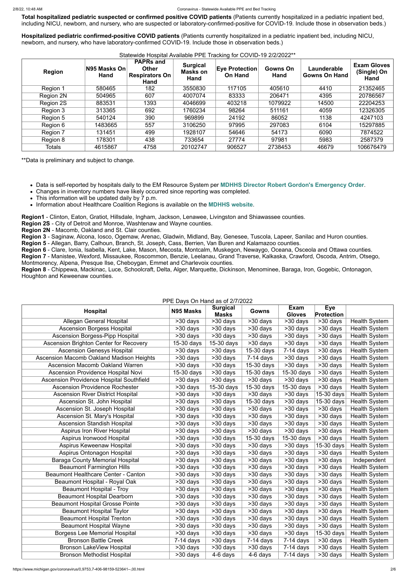**Total hospitalized pediatric suspected or confirmed positive COVID patients** (Patients currently hospitalized in a pediatric inpatient bed, including NICU, newborn, and nursery, who are suspected or laboratory-confirmed-positive for COVID-19. Include those in observation beds.)

**Hospitalized pediatric confirmed-positive COVID patients** (Patients currently hospitalized in a pediatric inpatient bed, including NICU, newborn, and nursery, who have laboratory-confirmed COVID-19. Include those in observation beds.)

#### Statewide Hospital Available PPE Tracking for COVID-19 2/2/2022\*\*

- This information will be updated daily by 7 p.m.
- Information about Healthcare Coalition Regions is available on the **[MDHHS website](https://www.michigan.gov/mdhhs/0,5885,7-339-71548_54783_54826_56171-237197--,00.html#hcc)**.

| <b>Region</b> | N95 Masks On<br>Hand | <b>PAPRs and</b><br><b>Other</b><br><b>Respirators On</b><br>Hand | <b>Surgical</b><br><b>Masks on</b><br>Hand | <b>Eye Protection</b><br><b>On Hand</b> | <b>Gowns On</b><br>Hand | Launderable<br><b>Gowns On Hand</b> | <b>Exam Gloves</b><br>(Single) On<br>Hand |
|---------------|----------------------|-------------------------------------------------------------------|--------------------------------------------|-----------------------------------------|-------------------------|-------------------------------------|-------------------------------------------|
| Region 1      | 580465               | 182                                                               | 3550830                                    | 117105                                  | 405610                  | 4410                                | 21352465                                  |
| Region 2N     | 504965               | 607                                                               | 4007074                                    | 83333                                   | 206471                  | 4395                                | 20786567                                  |
| Region 2S     | 883531               | 1393                                                              | 4046699                                    | 403218                                  | 1079922                 | 14500                               | 22204253                                  |
| Region 3      | 313365               | 692                                                               | 1760234                                    | 98264                                   | 511161                  | 4059                                | 12326305                                  |
| Region 5      | 540124               | 390                                                               | 969899                                     | 24192                                   | 86052                   | 1138                                | 4247103                                   |
| Region 6      | 1483665              | 557                                                               | 3106250                                    | 97995                                   | 297083                  | 6104                                | 15297885                                  |
| Region 7      | 131451               | 499                                                               | 1928107                                    | 54646                                   | 54173                   | 6090                                | 7874522                                   |
| Region 8      | 178301               | 438                                                               | 733654                                     | 27774                                   | 97981                   | 5983                                | 2587379                                   |
| <b>Totals</b> | 4615867              | 4758                                                              | 20102747                                   | 906527                                  | 2738453                 | 46679                               | 106676479                                 |

\*\*Data is preliminary and subject to change.

Data is self-reported by hospitals daily to the EM Resource System per **[MDHHS Director Robert Gordon's Emergency Order](https://www.michigan.gov/documents/coronavirus/MDHHS_epidemic_reporting_order_and_instructions_684709_7.pdf)**.

Changes in inventory numbers have likely occurred since reporting was completed.

**Region1** - Clinton, Eaton, Gratiot, Hillsdale, Ingham, Jackson, Lenawee, Livingston and Shiawassee counties.

**Region 2S** - City of Detroit and Monroe, Washtenaw and Wayne counties.

**Region 2N** - Macomb, Oakland and St. Clair counties.

**Region 3** - Saginaw, Alcona, Iosco, Ogemaw, Arenac, Gladwin, Midland, Bay, Genesee, Tuscola, Lapeer, Sanilac and Huron counties.

**Region 5** - Allegan, Barry, Calhoun, Branch, St. Joseph, Cass, Berrien, Van Buren and Kalamazoo counties.

**Region 6** - Clare, Ionia, Isabella, Kent, Lake, Mason, Mecosta, Montcalm, Muskegon, Newaygo, Oceana, Osceola and Ottawa counties.

**Region 7** - Manistee, Wexford, Missaukee, Roscommon, Benzie, Leelanau, Grand Traverse, Kalkaska, Crawford, Oscoda, Antrim, Otsego, Montmorency, Alpena, Presque Ilse, Cheboygan, Emmet and Charlevoix counties.

**Region 8** - Chippewa, Mackinac, Luce, Schoolcraft, Delta, Alger, Marquette, Dickinson, Menominee, Baraga, Iron, Gogebic, Ontonagon, Houghton and Keweenaw counties.

#### PPE Days On Hand as of 2/7/2022

| PPE Days On Hand as of 2/7/2022               |              |                                 |              |                       |                   |                      |  |  |
|-----------------------------------------------|--------------|---------------------------------|--------------|-----------------------|-------------------|----------------------|--|--|
| <b>Hospital</b>                               | N95 Masks    | <b>Surgical</b><br><b>Masks</b> | Gowns        | Exam<br><b>Gloves</b> | Eye<br>Protection |                      |  |  |
| Allegan General Hospital                      | >30 days     | >30 days                        | >30 days     | $>30$ days            | $>30$ days        | <b>Health System</b> |  |  |
| <b>Ascension Borgess Hospital</b>             | >30 days     | >30 days                        | $>30$ days   | >30 days              | >30 days          | <b>Health System</b> |  |  |
| <b>Ascension Borgess-Pipp Hospital</b>        | >30 days     | >30 days                        | $>30$ days   | >30 days              | $>30$ days        | <b>Health System</b> |  |  |
| <b>Ascension Brighton Center for Recovery</b> | $15-30$ days | $15-30$ days                    | $>30$ days   | $>30$ days            | $>30$ days        | <b>Health System</b> |  |  |
| <b>Ascension Genesys Hospital</b>             | >30 days     | >30 days                        | 15-30 days   | $7-14$ days           | >30 days          | <b>Health System</b> |  |  |
| Ascension Macomb Oakland Madison Heights      | >30 days     | >30 days                        | $7-14$ days  | $>30$ days            | $>30$ days        | <b>Health System</b> |  |  |
| <b>Ascension Macomb Oakland Warren</b>        | >30 days     | >30 days                        | 15-30 days   | $>30$ days            | >30 days          | <b>Health System</b> |  |  |
| <b>Ascension Providence Hospital Novi</b>     | 15-30 days   | >30 days                        | 15-30 days   | 15-30 days            | >30 days          | <b>Health System</b> |  |  |
| Ascension Providence Hospital Southfield      | $>30$ days   | >30 days                        | $>30$ days   | >30 days              | $>30$ days        | <b>Health System</b> |  |  |
| <b>Ascension Providence Rochester</b>         | >30 days     | $15-30$ days                    | 15-30 days   | 15-30 days            | >30 days          | <b>Health System</b> |  |  |
| <b>Ascension River District Hospital</b>      | >30 days     | >30 days                        | $>30$ days   | >30 days              | 15-30 days        | <b>Health System</b> |  |  |
| Ascension St. John Hospital                   | >30 days     | >30 days                        | $15-30$ days | >30 days              | 15-30 days        | <b>Health System</b> |  |  |
| Ascension St. Joseph Hospital                 | >30 days     | >30 days                        | $>30$ days   | >30 days              | $>30$ days        | <b>Health System</b> |  |  |
| Ascension St. Mary's Hospital                 | >30 days     | >30 days                        | >30 days     | >30 days              | >30 days          | <b>Health System</b> |  |  |
| <b>Ascension Standish Hospital</b>            | >30 days     | >30 days                        | $>30$ days   | $>30$ days            | $>30$ days        | <b>Health System</b> |  |  |
| <b>Aspirus Iron River Hospital</b>            | $>30$ days   | >30 days                        | $>30$ days   | >30 days              | >30 days          | <b>Health System</b> |  |  |

| Aspirus Ironwood Hospital                  | >30 days    | >30 days   | 15-30 days  | $15-30$ days | $>30$ days | <b>Health System</b> |
|--------------------------------------------|-------------|------------|-------------|--------------|------------|----------------------|
| Aspirus Keweenaw Hospital                  | >30 days    | >30 days   | $>30$ days  | >30 days     | 15-30 days | <b>Health System</b> |
| Aspirus Ontonagon Hospital                 | $>30$ days  | >30 days   | $>30$ days  | >30 days     | >30 days   | <b>Health System</b> |
| <b>Baraga County Memorial Hospital</b>     | >30 days    | $>30$ days | $>30$ days  | >30 days     | >30 days   | Independent          |
| <b>Beaumont Farmington Hills</b>           | $>30$ days  | >30 days   | $>30$ days  | >30 days     | >30 days   | <b>Health System</b> |
| <b>Beaumont Healthcare Center - Canton</b> | >30 days    | $>30$ days | $>30$ days  | >30 days     | $>30$ days | <b>Health System</b> |
| Beaumont Hospital - Royal Oak              | >30 days    | >30 days   | $>30$ days  | >30 days     | >30 days   | <b>Health System</b> |
| <b>Beaumont Hospital - Troy</b>            | >30 days    | $>30$ days | $>30$ days  | >30 days     | >30 days   | <b>Health System</b> |
| <b>Beaumont Hospital Dearborn</b>          | >30 days    | $>30$ days | $>30$ days  | >30 days     | $>30$ days | <b>Health System</b> |
| <b>Beaumont Hospital Grosse Pointe</b>     | $>30$ days  | >30 days   | >30 days    | >30 days     | $>30$ days | <b>Health System</b> |
| <b>Beaumont Hospital Taylor</b>            | >30 days    | >30 days   | $>30$ days  | >30 days     | >30 days   | <b>Health System</b> |
| <b>Beaumont Hospital Trenton</b>           | >30 days    | >30 days   | $>30$ days  | >30 days     | >30 days   | <b>Health System</b> |
| <b>Beaumont Hospital Wayne</b>             | >30 days    | >30 days   | $>30$ days  | >30 days     | $>30$ days | <b>Health System</b> |
| <b>Borgess Lee Memorial Hospital</b>       | >30 days    | >30 days   | >30 days    | >30 days     | 15-30 days | <b>Health System</b> |
| <b>Bronson Battle Creek</b>                | $7-14$ days | $>30$ days | $7-14$ days | $7-14$ days  | >30 days   | <b>Health System</b> |
| <b>Bronson LakeView Hospital</b>           | >30 days    | >30 days   | >30 days    | $7-14$ days  | >30 days   | <b>Health System</b> |
| <b>Bronson Methodist Hospital</b>          | >30 days    | 4-6 days   | $4-6$ days  | $7-14$ days  | >30 days   | <b>Health System</b> |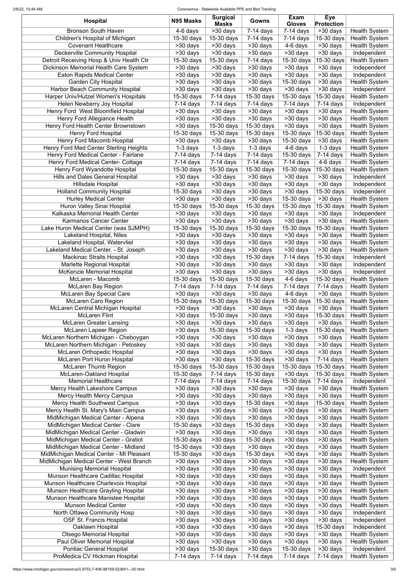#### 2/8/22, 10:48 AM Coronavirus - Statewide Available PPE and Bed Tracking

| <b>Hospital</b>                                                          | N95 Masks               | <b>Surgical</b><br><b>Masks</b> | Gowns                   | <b>Exam</b><br><b>Gloves</b> | <b>Eye</b><br><b>Protection</b> |                                     |
|--------------------------------------------------------------------------|-------------------------|---------------------------------|-------------------------|------------------------------|---------------------------------|-------------------------------------|
| <b>Bronson South Haven</b>                                               | $4-6$ days              | $\overline{>30}$ days           | $7-14$ days             | $\overline{7}$ -14 days      | $\overline{>30}$ days           | <b>Health System</b>                |
| Children's Hospital of Michigan                                          | 15-30 days              | 15-30 days                      | $7-14$ days             | $7-14$ days                  | 15-30 days                      | <b>Health System</b>                |
| <b>Covenant Healthcare</b>                                               | $>30$ days              | >30 days                        | >30 days                | 4-6 days                     | >30 days                        | <b>Health System</b>                |
| <b>Deckerville Community Hospital</b>                                    | >30 days                | >30 days                        | >30 days                | >30 days                     | >30 days                        | Independent                         |
| Detroit Receiving Hosp & Univ Health Ctr                                 | 15-30 days              | 15-30 days                      | $7-14$ days             | 15-30 days                   | 15-30 days                      | <b>Health System</b>                |
| Dickinson Memorial Health Care System                                    | >30 days                | >30 days                        | $>30$ days              | >30 days                     | >30 days                        | Independent                         |
| <b>Eaton Rapids Medical Center</b>                                       | >30 days                | >30 days                        | >30 days                | >30 days                     | >30 days                        | Independent                         |
| <b>Garden City Hospital</b><br><b>Harbor Beach Community Hospital</b>    | >30 days<br>>30 days    | >30 days<br>>30 days            | >30 days<br>>30 days    | 15-30 days<br>>30 days       | >30 days<br>>30 days            | <b>Health System</b><br>Independent |
| Harper Univ/Hutzel Women's Hospitals                                     | 15-30 days              | $7-14$ days                     | 15-30 days              | 15-30 days                   | 15-30 days                      | <b>Health System</b>                |
| Helen Newberry Joy Hospital                                              | $7-14$ days             | $7-14$ days                     | $7-14$ days             | 7-14 days                    | $7-14$ days                     | Independent                         |
| Henry Ford West Bloomfield Hospital                                      | >30 days                | >30 days                        | >30 days                | >30 days                     | >30 days                        | <b>Health System</b>                |
| Henry Ford Allegiance Health                                             | >30 days                | >30 days                        | >30 days                | >30 days                     | >30 days                        | <b>Health System</b>                |
| Henry Ford Health Center Brownstown                                      | >30 days                | 15-30 days                      | $15-30$ days            | >30 days                     | >30 days                        | <b>Health System</b>                |
| <b>Henry Ford Hospital</b>                                               | 15-30 days              | 15-30 days                      | 15-30 days              | 15-30 days                   | 15-30 days                      | <b>Health System</b>                |
| Henry Ford Macomb Hospital                                               | >30 days                | >30 days                        | >30 days                | $15-30$ days                 | >30 days                        | <b>Health System</b>                |
| Henry Ford Med Center Sterling Heights                                   | $1-3$ days              | $1-3$ days                      | 1-3 days                | 4-6 days                     | 1-3 days                        | <b>Health System</b>                |
| Henry Ford Medical Center - Fairlane                                     | $7-14$ days             | $7-14$ days                     | $7-14$ days             | 15-30 days                   | $7-14$ days                     | <b>Health System</b>                |
| Henry Ford Medical Center- Cottage                                       | $\overline{7}$ -14 days | $\overline{7-14}$ days          | $\overline{7}$ -14 days | $7-14$ days                  | $\overline{4}$ -6 days          | <b>Health System</b>                |
| Henry Ford Wyandotte Hospital                                            | 15-30 days              | 15-30 days                      | 15-30 days              | 15-30 days                   | 15-30 days                      | <b>Health System</b>                |
| <b>Hills and Dales General Hospital</b>                                  | >30 days                | >30 days                        | $>30$ days              | $>30$ days                   | $>30$ days                      | Independent                         |
| <b>Hillsdale Hospital</b>                                                | $>30$ days              | $\overline{>30}$ days           | >30 days                | >30 days                     | $>30$ days                      | Independent                         |
| <b>Holland Community Hospital</b>                                        | 15-30 days              | >30 days                        | $>30$ days              | $>30$ days                   | 15-30 days                      | Independent                         |
| <b>Hurley Medical Center</b>                                             | >30 days                | $>30$ days                      | >30 days                | 15-30 days                   | >30 days                        | <b>Health System</b>                |
| Huron Valley Sinai Hospital                                              | 15-30 days              | 15-30 days                      | 15-30 days              | 15-30 days                   | 15-30 days                      | <b>Health System</b>                |
| Kalkaska Memorial Health Center                                          | >30 days                | >30 days                        | >30 days                | >30 days                     | >30 days                        | Independent                         |
| Karmanos Cancer Center                                                   | $>30$ days              | $\overline{>30}$ days           | $>30$ days              | $>30$ days                   | $>30$ days                      | <b>Health System</b>                |
| ake Huron Medical Center (was SJMPH)                                     | 15-30 days              | 15-30 days                      | 15-30 days              | 15-30 days $ 15-30$ days     |                                 | <b>Health System</b>                |
| <b>Lakeland Hospital, Niles</b>                                          | $>30$ days              | $\overline{>30}$ days           | >30 days                | $>30$ days                   | $\overline{>}30$ days           | <b>Health System</b>                |
| Lakeland Hospital, Watervliet                                            | >30 days                | >30 days                        | >30 days                | >30 days                     | >30 days                        | <b>Health System</b>                |
| Lakeland Medical Center. - St. Joseph                                    | $\overline{>30}$ days   | $>30$ days                      | $>30$ days              | >30 days                     | $>30$ days                      | <b>Health System</b>                |
| <b>Mackinac Straits Hospital</b>                                         | >30 days                | >30 days                        | $15-30$ days            | $7-14$ days                  | 15-30 days                      | Independent                         |
| <b>Marlette Regional Hospital</b>                                        | $>30$ days              | >30 days                        | >30 days                | >30 days                     | >30 days                        | Independent                         |
| <b>McKenzie Memorial Hospital</b>                                        | >30 days                | >30 days                        | >30 days                | >30 days                     | >30 days                        | Independent                         |
| McLaren - Macomb                                                         | 15-30 days              | 15-30 days                      | 15-30 days              | 4-6 days                     | 15-30 days                      | <b>Health System</b>                |
| <b>McLaren Bay Region</b>                                                | $7-14$ days             | $7-14$ days                     | $7-14$ days             | $7-14$ days                  | $7-14$ days                     | <b>Health System</b>                |
| <b>McLaren Bay Special Care</b>                                          | >30 days                | >30 days                        | >30 days                | 4-6 days                     | >30 days                        | <b>Health System</b>                |
| <b>McLaren Caro Region</b>                                               | 15-30 days              | 15-30 days                      | $15-30$ days            | 15-30 days                   | 15-30 days                      | <b>Health System</b>                |
| McLaren Central Michigan Hospital                                        | >30 days                | >30 days                        | >30 days                | >30 days                     | >30 days                        | <b>Health System</b>                |
| <b>McLaren Flint</b>                                                     | >30 days                | 15-30 days                      | >30 days                | >30 days                     | 15-30 days                      | <b>Health System</b>                |
| <b>McLaren Greater Lansing</b>                                           | >30 days                | >30 days                        | >30 days                | >30 days                     | >30 days                        | <b>Health System</b>                |
| <b>McLaren Lapeer Region</b>                                             | >30 days                | 15-30 days                      | $15-30$ days            | $1-3$ days                   | 15-30 days                      | <b>Health System</b>                |
| McLaren Northern Michigan - Cheboygan                                    | >30 days                | >30 days                        | >30 days                | >30 days                     | >30 days                        | <b>Health System</b>                |
| McLaren Northern Michigan - Petoskey                                     | >30 days                | >30 days                        | >30 days                | >30 days                     | >30 days                        | <b>Health System</b>                |
| <b>McLaren Orthopedic Hospital</b>                                       | >30 days                | >30 days                        | >30 days                | >30 days                     | >30 days                        | <b>Health System</b>                |
| <b>McLaren Port Huron Hospital</b>                                       | >30 days                | >30 days                        | $15-30$ days            | >30 days                     | $7-14$ days                     | <b>Health System</b>                |
| <b>McLaren Thumb Region</b>                                              | 15-30 days              | 15-30 days                      | 15-30 days              | 15-30 days                   | 15-30 days                      | <b>Health System</b>                |
| McLaren-Oakland Hospital                                                 | 15-30 days              | $7-14$ days                     | 15-30 days              | >30 days                     | 15-30 days                      | <b>Health System</b>                |
| <b>Memorial Healthcare</b>                                               | $\overline{7}$ -14 days | $\overline{7}$ -14 days         | $\overline{7}$ -14 days | 15-30 days                   | $7-14$ days                     | Independent                         |
| Mercy Health Lakeshore Campus                                            | >30 days                | >30 days                        | $>30$ days              | >30 days                     | >30 days                        | <b>Health System</b>                |
| <b>Mercy Health Mercy Campus</b>                                         | >30 days                | >30 days                        | >30 days                | >30 days                     | >30 days                        | <b>Health System</b>                |
| <b>Mercy Health Southwest Campus</b>                                     | >30 days                | >30 days                        | 15-30 days              | >30 days                     | 15-30 days                      | <b>Health System</b>                |
| Mercy Health St. Mary's Main Campus                                      | >30 days                | >30 days                        | >30 days                | >30 days                     | $>30$ days                      | <b>Health System</b>                |
| MidMichigan Medical Center - Alpena                                      | >30 days                | >30 days                        | >30 days                | >30 days                     | >30 days                        | <b>Health System</b>                |
| MidMichigan Medical Center - Clare                                       | 15-30 days              | >30 days                        | 15-30 days              | >30 days                     | >30 days                        | <b>Health System</b>                |
| MidMichigan Medical Center - Gladwin                                     | >30 days                | >30 days                        | >30 days                | $\overline{>30}$ days        | $\overline{>30}$ days           | <b>Health System</b>                |
| MidMichigan Medical Center - Gratiot                                     | $15-30$ days            | >30 days                        | 15-30 days              | >30 days                     | $>30$ days                      | <b>Health System</b>                |
| MidMichigan Medical Center - Midland                                     | 15-30 days              | >30 days                        | $\overline{>}30$ days   | >30 days                     | >30 days                        | <b>Health System</b>                |
| MidMichigan Medical Center - Mt Pleasant                                 | 15-30 days              | >30 days                        | 15-30 days              | >30 days                     | $>30$ days                      | <b>Health System</b>                |
| MidMichigan Medical Center - West Branch                                 | >30 days                | >30 days                        | >30 days                | >30 days                     | >30 days<br>>30 days            | <b>Health System</b>                |
| <b>Munising Memorial Hospital</b><br>Munson Healthcare Cadillac Hospital | >30 days<br>>30 days    | >30 days<br>>30 days            | >30 days<br>$>30$ days  | >30 days<br>>30 days         | >30 days                        | Independent<br><b>Health System</b> |
| Munson Healthcare Charlevoix Hospital                                    | >30 days                | >30 days                        | >30 days                | >30 days                     | >30 days                        | <b>Health System</b>                |
| Munson Healthcare Grayling Hospital                                      | >30 days                | >30 days                        | >30 days                | >30 days                     | >30 days                        | <b>Health System</b>                |
| Munson Healthcare Manistee Hospital                                      | >30 days                | >30 days                        | >30 days                | >30 days                     | >30 days                        | <b>Health System</b>                |
| <b>Munson Medical Center</b>                                             | >30 days                | >30 days                        | >30 days                | >30 days                     | >30 days                        | <b>Health System</b>                |
| North Ottawa Community Hosp                                              | >30 days                | >30 days                        | >30 days                | >30 days                     | >30 days                        | Independent                         |
| <b>OSF St. Francis Hospital</b>                                          | >30 days                | >30 days                        | >30 days                | >30 days                     | >30 days                        | Independent                         |
| Oaklawn Hospital                                                         | >30 days                | >30 days                        | >30 days                | >30 days                     | 15-30 days                      | Independent                         |
| <b>Otsego Memorial Hospital</b>                                          | >30 days                | >30 days                        | >30 days                | >30 days                     | >30 days                        | <b>Health System</b>                |
| Paul Oliver Memorial Hospital                                            | >30 days                | >30 days                        | >30 days                | >30 days                     | >30 days                        | <b>Health System</b>                |
| <b>Pontiac General Hospital</b>                                          | >30 days                | 15-30 days                      | >30 days                | 15-30 days                   | >30 days                        | Independent                         |
| ProMedica CV Hickman Hospital                                            | $7-14$ days             | $7-14$ days                     | $7-14$ days             | $7-14$ days                  | $7-14$ days                     | <b>Health System</b>                |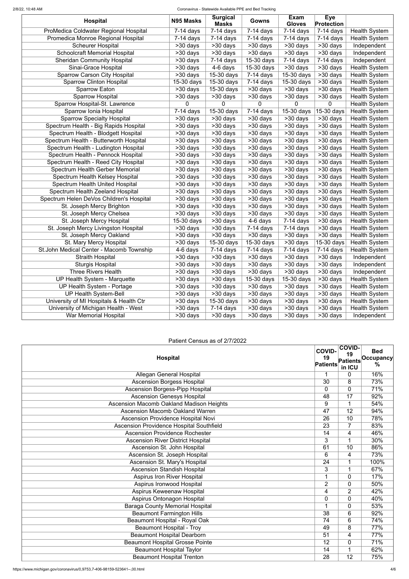#### 2/8/22, 10:48 AM Coronavirus - Statewide Available PPE and Bed Tracking

| <b>Hospital</b>                          | N95 Masks                             | <b>Surgical</b><br><b>Masks</b> | Gowns                   | <b>Exam</b><br><b>Gloves</b> | <b>Eye</b><br><b>Protection</b> |                      |
|------------------------------------------|---------------------------------------|---------------------------------|-------------------------|------------------------------|---------------------------------|----------------------|
| ProMedica Coldwater Regional Hospital    | $7-14$ days                           | $\overline{7}$ -14 days         | $\overline{7}$ -14 days | $\overline{7}$ -14 days      | $7-14$ days                     | <b>Health System</b> |
| Promedica Monroe Regional Hospital       | $\overline{7}$ -14 days               | $7-14$ days                     | $7-14$ days             | $7-14$ days                  | $7-14$ days                     | <b>Health System</b> |
| <b>Scheurer Hospital</b>                 | >30 days                              | >30 days                        | >30 days                | >30 days                     | >30 days                        | Independent          |
| <b>Schoolcraft Memorial Hospital</b>     | $>30$ days                            | $>30$ days                      | >30 days                | $>30$ days                   | >30 days                        | Independent          |
| <b>Sheridan Community Hospital</b>       | >30 days                              | $7-14$ days                     | $15-30$ days            | $7-14$ days                  | $7-14$ days                     | Independent          |
| Sinai-Grace Hospital                     | >30 days                              | $4-6$ days                      | 15-30 days              | $>30$ days                   | $>30$ days                      | <b>Health System</b> |
| <b>Sparrow Carson City Hospital</b>      | >30 days                              | 15-30 days                      | $7-14$ days             | 15-30 days                   | >30 days                        | <b>Health System</b> |
| <b>Sparrow Clinton Hospital</b>          | 15-30 days                            | 15-30 days                      | $7-14$ days             | 15-30 days                   | >30 days                        | <b>Health System</b> |
| <b>Sparrow Eaton</b>                     | $>30$ days                            | 15-30 days                      | >30 days                | >30 days                     | >30 days                        | <b>Health System</b> |
| <b>Sparrow Hospital</b>                  | >30 days                              | >30 days                        | >30 days                | >30 days                     | >30 days                        | <b>Health System</b> |
| Sparrow Hospital-St. Lawrence            | $\mathbf 0$                           | 0                               | 0                       | 0                            | 0                               | <b>Health System</b> |
| Sparrow Ionia Hospital                   | $7-14$ days                           | 15-30 days                      | $\overline{7}$ -14 days | 15-30 days                   | 15-30 days                      | <b>Health System</b> |
| <b>Sparrow Specialty Hospital</b>        | >30 days                              | $>30$ days                      | >30 days                | >30 days                     | >30 days                        | <b>Health System</b> |
| Spectrum Health - Big Rapids Hospital    | >30 days                              | >30 days                        | >30 days                | >30 days                     | $>30$ days                      | <b>Health System</b> |
| Spectrum Health - Blodgett Hospital      | $>30$ days                            | >30 days                        | >30 days                | >30 days                     | >30 days                        | <b>Health System</b> |
| Spectrum Health - Butterworth Hospital   | >30 days                              | >30 days                        | >30 days                | $>30$ days                   | >30 days                        | <b>Health System</b> |
| Spectrum Health - Ludington Hospital     | >30 days                              | >30 days                        | >30 days                | >30 days                     | >30 days                        | <b>Health System</b> |
| Spectrum Health - Pennock Hospital       | >30 days                              | $>30$ days                      | >30 days                | >30 days                     | $>30$ days                      | <b>Health System</b> |
| Spectrum Health - Reed City Hospital     | >30 days                              | >30 days                        | >30 days                | >30 days                     | >30 days                        | <b>Health System</b> |
| <b>Spectrum Health Gerber Memorial</b>   | >30 days                              | $>30$ days                      | >30 days                | $\overline{>30}$ days        | >30 days                        | <b>Health System</b> |
| Spectrum Health Kelsey Hospital          | $\overline{>30}$ days                 | $\overline{>30}$ days           | >30 days                | >30 days                     | $\overline{>30}$ days           | <b>Health System</b> |
| <b>Spectrum Health United Hospital</b>   | >30 days                              | $>30$ days                      | $>30$ days              | $\overline{>30}$ days        | $\overline{>30}$ days           | <b>Health System</b> |
| Spectrum Health Zeeland Hospital         | $\overline{>30}$ days                 | $\overline{>30}$ days           | >30 days                | >30 days                     | $\overline{>30}$ days           | <b>Health System</b> |
| Spectrum Helen DeVos Children's Hospital | $\overline{>30}$ days                 | $>30$ days                      | >30 days                | $\overline{>30}$ days        | >30 days                        | <b>Health System</b> |
| St. Joseph Mercy Brighton                | $\overline{>30}$ days                 | $\overline{>30}$ days           | >30 days                | >30 days                     | $\overline{>30}$ days           | <b>Health System</b> |
| St. Joseph Mercy Chelsea                 | >30 days                              | >30 days                        | >30 days                | $\overline{>30}$ days        | $\overline{>30}$ days           | <b>Health System</b> |
| St. Joseph Mercy Hospital                | $15-30$ days                          | >30 days                        | 4-6 days                | $7-14$ days                  | >30 days                        | <b>Health System</b> |
| St. Joseph Mercy Livingston Hospital     | $\overline{\smash{>}}30\ \text{days}$ | $\overline{>30}$ days           | $7-14$ days             | $7-14$ days                  | >30 days                        | <b>Health System</b> |
| St. Joseph Mercy Oakland                 | >30 days                              | >30 days                        | >30 days                | >30 days                     | >30 days                        | <b>Health System</b> |
| St. Mary Mercy Hospital                  | >30 days                              | 15-30 days                      | 15-30 days              | $\overline{>30}$ days        | $15-30$ days                    | <b>Health System</b> |
| St.John Medical Center - Macomb Township | 4-6 days                              | $7-14$ days                     | $7-14$ days             | $7-14$ days                  | $7-14$ days                     | <b>Health System</b> |
| <b>Straith Hospital</b>                  | >30 days                              | >30 days                        | >30 days                | >30 days                     | >30 days                        | Independent          |
| <b>Sturgis Hospital</b>                  | >30 days                              | >30 days                        | >30 days                | >30 days                     | >30 days                        | Independent          |
| <b>Three Rivers Health</b>               | >30 days                              | >30 days                        | $>30$ days              | $>30$ days                   | >30 days                        | Independent          |
| UP Health System - Marquette             | >30 days                              | >30 days                        | 15-30 days              | $15-30$ days                 | >30 days                        | <b>Health System</b> |
| UP Health System - Portage               | >30 days                              | >30 days                        | >30 days                | >30 days                     | >30 days                        | <b>Health System</b> |
| <b>UP Health System-Bell</b>             | >30 days                              | >30 days                        | >30 days                | >30 days                     | >30 days                        | <b>Health System</b> |
| University of MI Hospitals & Health Ctr  | >30 days                              | $\overline{15}$ -30 days        | >30 days                | >30 days                     | >30 days                        | <b>Health System</b> |
| University of Michigan Health - West     | >30 days                              | $7-14$ days                     | >30 days                | >30 days                     | >30 days                        | <b>Health System</b> |
| <b>War Memorial Hospital</b>             | >30 days                              | >30 days                        | >30 days                | >30 days                     | >30 days                        | Independent          |

## Patient Census as of 2/7/2022

| <b>Hospital</b>                                 | <b>COVID-</b><br>19<br><b>Patients</b> | <b>COVID-</b><br>19<br><b>Patients</b><br>in ICU | <b>Bed</b><br><b>Occupancy</b><br>$\frac{0}{0}$ |
|-------------------------------------------------|----------------------------------------|--------------------------------------------------|-------------------------------------------------|
| <b>Allegan General Hospital</b>                 | 1                                      | $\mathbf{0}$                                     | 16%                                             |
| <b>Ascension Borgess Hospital</b>               | $\overline{30}$                        | 8                                                | 73%                                             |
| <b>Ascension Borgess-Pipp Hospital</b>          | 0                                      | $\overline{0}$                                   | 71%                                             |
| <b>Ascension Genesys Hospital</b>               | 48                                     | 17                                               | 92%                                             |
| <b>Ascension Macomb Oakland Madison Heights</b> | 9                                      | 1                                                | 54%                                             |
| <b>Ascension Macomb Oakland Warren</b>          | $\overline{47}$                        | $\overline{12}$                                  | 94%                                             |
| <b>Ascension Providence Hospital Novi</b>       | $\overline{26}$                        | 10                                               | 78%                                             |
| <b>Ascension Providence Hospital Southfield</b> | $\overline{23}$                        | $\overline{7}$                                   | 83%                                             |
| <b>Ascension Providence Rochester</b>           | 14                                     | 4                                                | 46%                                             |
| <b>Ascension River District Hospital</b>        | $\overline{3}$                         | 1                                                | 30%                                             |
| Ascension St. John Hospital                     | 61                                     | 10                                               | 86%                                             |
| Ascension St. Joseph Hospital                   | 6                                      | $\overline{4}$                                   | 73%                                             |
| Ascension St. Mary's Hospital                   | $\overline{24}$                        |                                                  | 100%                                            |
| <b>Ascension Standish Hospital</b>              | $\overline{3}$                         | 1                                                | 67%                                             |
| <b>Aspirus Iron River Hospital</b>              | $\mathbf 1$                            | $\mathbf{0}$                                     | 17%                                             |
| Aspirus Ironwood Hospital                       | $\overline{2}$                         | $\mathbf{0}$                                     | 50%                                             |
| Aspirus Keweenaw Hospital                       | 4                                      | $\overline{2}$                                   | 42%                                             |
| Aspirus Ontonagon Hospital                      | 0                                      | $\mathbf{0}$                                     | 40%                                             |
| <b>Baraga County Memorial Hospital</b>          | 1                                      | $\mathbf{0}$                                     | 53%                                             |
| <b>Beaumont Farmington Hills</b>                | 38                                     | 6                                                | 92%                                             |
| Beaumont Hospital - Royal Oak                   | 74                                     | 6                                                | 74%                                             |
| <b>Beaumont Hospital - Troy</b>                 | 49                                     | 8                                                | 77%                                             |
| <b>Beaumont Hospital Dearborn</b>               | 51                                     | 4                                                | 77%                                             |
| <b>Beaumont Hospital Grosse Pointe</b>          | 12                                     | $\mathbf{0}$                                     | 71%                                             |
| <b>Beaumont Hospital Taylor</b>                 | 14                                     | 1                                                | 62%                                             |
| <b>Beaumont Hospital Trenton</b>                | 28                                     | 12                                               | 75%                                             |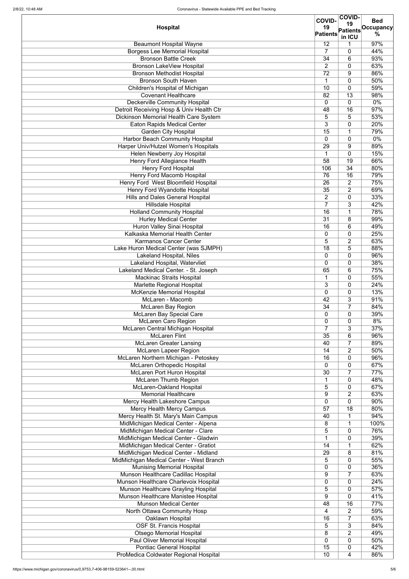|                                                                            |                                  | <b>COVID-</b>         | <b>Bed</b>       |
|----------------------------------------------------------------------------|----------------------------------|-----------------------|------------------|
| <b>Hospital</b>                                                            | 19                               | 19<br><b>Patients</b> | <b>Occupancy</b> |
|                                                                            | <b>Patients</b>                  | in ICU                | $\frac{0}{0}$    |
| <b>Beaumont Hospital Wayne</b>                                             | 12                               |                       | 97%              |
| <b>Borgess Lee Memorial Hospital</b>                                       | $\overline{7}$                   | 0                     | 44%              |
| <b>Bronson Battle Creek</b>                                                | 34                               | 6                     | 93%              |
| <b>Bronson LakeView Hospital</b>                                           | $\overline{2}$                   | 0                     | 63%              |
| <b>Bronson Methodist Hospital</b>                                          | 72<br>1                          | 9                     | 86%              |
| <b>Bronson South Haven</b><br>Children's Hospital of Michigan              | 10                               | 0<br>0                | 50%<br>59%       |
| <b>Covenant Healthcare</b>                                                 | 82                               | 13                    | 98%              |
| Deckerville Community Hospital                                             | $\overline{0}$                   | 0                     | $0\%$            |
| Detroit Receiving Hosp & Univ Health Ctr                                   | 48                               | 16                    | 97%              |
| Dickinson Memorial Health Care System                                      | 5                                | 5                     | 53%              |
| <b>Eaton Rapids Medical Center</b>                                         | 3                                | $\mathbf 0$           | 20%              |
| <b>Garden City Hospital</b>                                                | 15                               | 1                     | 79%              |
| Harbor Beach Community Hospital                                            | $\Omega$                         | 0                     | 0%               |
| Harper Univ/Hutzel Women's Hospitals                                       | 29                               | 9                     | 89%              |
| Helen Newberry Joy Hospital                                                |                                  | $\overline{0}$        | 15%              |
| Henry Ford Allegiance Health                                               | 58                               | 19                    | 66%              |
| <b>Henry Ford Hospital</b>                                                 | 106                              | $\overline{34}$       | 80%              |
| <b>Henry Ford Macomb Hospital</b>                                          | 76                               | 16                    | 79%              |
| <b>Henry Ford West Bloomfield Hospital</b>                                 | 26                               | $\overline{2}$        | 75%              |
| <b>Henry Ford Wyandotte Hospital</b>                                       | 35                               | 2                     | 69%              |
| <b>Hills and Dales General Hospital</b><br><b>Hillsdale Hospital</b>       | $\overline{2}$<br>$\overline{7}$ | 0<br>3                | 33%<br>42%       |
| <b>Holland Community Hospital</b>                                          | 16                               | 1                     | 78%              |
| <b>Hurley Medical Center</b>                                               | 31                               | 8                     | 99%              |
| Huron Valley Sinai Hospital                                                | 16                               | 6                     | 49%              |
| <b>Kalkaska Memorial Health Center</b>                                     | 0                                | 0                     | 25%              |
| <b>Karmanos Cancer Center</b>                                              | 5                                | $\overline{2}$        | 63%              |
| Lake Huron Medical Center (was SJMPH)                                      | 18                               | 5                     | 88%              |
| <b>Lakeland Hospital, Niles</b>                                            | $\Omega$                         | 0                     | 96%              |
| Lakeland Hospital, Watervliet                                              | 0                                | 0                     | 38%              |
| Lakeland Medical Center. - St. Joseph                                      | 65                               | 6                     | 75%              |
| <b>Mackinac Straits Hospital</b>                                           |                                  | 0                     | 55%              |
| Marlette Regional Hospital                                                 | 3                                | 0                     | 24%              |
| McKenzie Memorial Hospital                                                 | 0                                | 0                     | 13%              |
| McLaren - Macomb                                                           | 42                               | 3                     | 91%              |
| <b>McLaren Bay Region</b>                                                  | 34                               | 7                     | 84%              |
| <b>McLaren Bay Special Care</b>                                            | 0                                | 0                     | 39%              |
| <b>McLaren Caro Region</b><br>McLaren Central Michigan Hospital            | $\overline{0}$<br>$\overline{7}$ | 0<br>3                | 8%<br>37%        |
| <b>McLaren Flint</b>                                                       | 35                               | 6                     | 96%              |
| <b>McLaren Greater Lansing</b>                                             | 40                               | $\overline{7}$        | 89%              |
| <b>McLaren Lapeer Region</b>                                               | 14                               | $\overline{2}$        | 50%              |
| McLaren Northern Michigan - Petoskey                                       | 16                               | 0                     | 96%              |
| McLaren Orthopedic Hospital                                                | $\overline{0}$                   | 0                     | 67%              |
| <b>McLaren Port Huron Hospital</b>                                         | $\overline{30}$                  | $\overline{7}$        | 77%              |
| <b>McLaren Thumb Region</b>                                                | 1                                | 0                     | 48%              |
| <b>McLaren-Oakland Hospital</b>                                            | 5                                | 0                     | 67%              |
| <b>Memorial Healthcare</b>                                                 | 9                                | $\overline{2}$        | 63%              |
| Mercy Health Lakeshore Campus                                              | 0                                | 0                     | 90%              |
| <b>Mercy Health Mercy Campus</b>                                           | 57                               | 18                    | 80%              |
| Mercy Health St. Mary's Main Campus<br>MidMichigan Medical Center - Alpena | 40<br>8                          | $\mathbf 1$<br>1      | 94%<br>100%      |
| MidMichigan Medical Center - Clare                                         | $\overline{5}$                   | 0                     | 76%              |
| MidMichigan Medical Center - Gladwin                                       | 1                                | 0                     | 39%              |
| MidMichigan Medical Center - Gratiot                                       | 14                               | 1                     | 62%              |
| MidMichigan Medical Center - Midland                                       | $\overline{29}$                  | $\overline{8}$        | 81%              |
| MidMichigan Medical Center - West Branch                                   | $\overline{5}$                   | $\overline{0}$        | 55%              |
| <b>Munising Memorial Hospital</b>                                          | $\overline{0}$                   | 0                     | 36%              |
| Munson Healthcare Cadillac Hospital                                        | 9                                | $\overline{7}$        | 63%              |
| Munson Healthcare Charlevoix Hospital                                      | $\overline{0}$                   | 0                     | 24%              |
| Munson Healthcare Grayling Hospital                                        | 5                                | 0                     | 57%              |
| Munson Healthcare Manistee Hospital                                        | 9                                | 0                     | 41%              |
| <b>Munson Medical Center</b>                                               | 48                               | 16                    | 77%              |
| North Ottawa Community Hosp                                                | 4                                | $\overline{2}$        | 59%              |
| Oaklawn Hospital                                                           | 16                               | $\overline{7}$        | 63%              |
| <b>OSF St. Francis Hospital</b>                                            | 5                                | 3                     | 84%              |
| <b>Otsego Memorial Hospital</b><br><b>Paul Oliver Memorial Hospital</b>    | 8<br>$\overline{0}$              | $\overline{2}$<br>0   | 49%<br>50%       |
| <b>Pontiac General Hospital</b>                                            | 15                               | 0                     | 42%              |
| ProMedica Coldwater Regional Hospital                                      | 10                               | 4                     | 86%              |
|                                                                            |                                  |                       |                  |